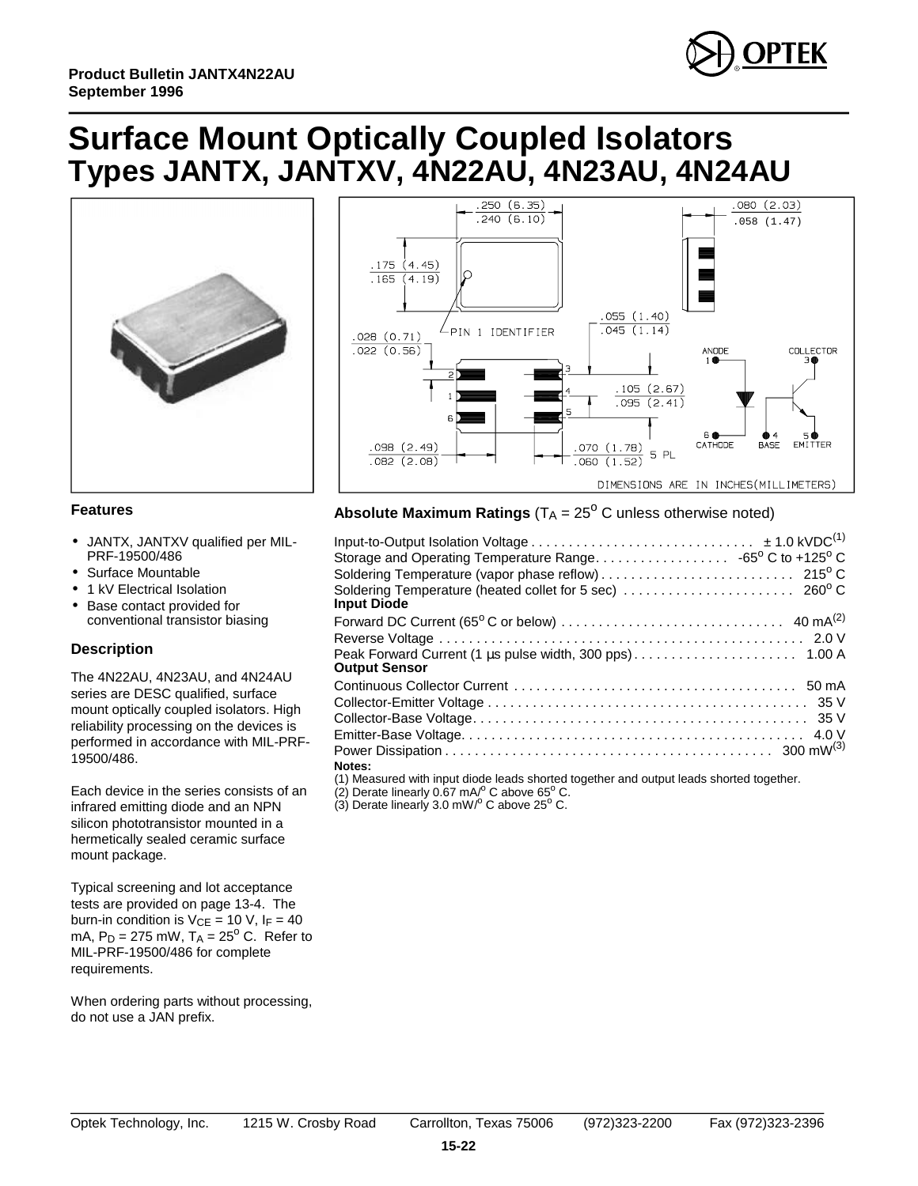

## **Surface Mount Optically Coupled Isolators Types JANTX, JANTXV, 4N22AU, 4N23AU, 4N24AU**





#### **Features**

- •JANTX, JANTXV qualified per MIL-PRF-19500/486
- Surface Mountable
- •1 kV Electrical Isolation
- •Base contact provided for conventional transistor biasing

#### **De scrip tion**

The 4N22AU, 4N23AU, and 4N24AU series are DESC qualified, surface mount optically coupled isolators. High reliability processing on the devices is performed in accordance with MIL-PRF-19500/486.

Each device in the series consists of an infrared emitting diode and an NPN silicon phototransistor mounted in a hermetically sealed ceramic surface mount package.

Typical screening and lot acceptance tests are provided on page 13-4. The burn-in condition is  $V_{CE} = 10 V$ ,  $I_F = 40$ mA,  $P_D = 275$  mW,  $T_A = 25^{\circ}$  C. Refer to MIL-PRF-19500/486 for complete requirements.

When ordering parts without processing, do not use a JAN prefix.

### **Absolute Maximum Ratings** ( $TA = 25^{\circ}$  C unless otherwise noted)

| Storage and Operating Temperature Range. 65 $^{\rm o}$ C to +125 $^{\rm o}$ C                                                             |
|-------------------------------------------------------------------------------------------------------------------------------------------|
|                                                                                                                                           |
| Soldering Temperature (heated collet for 5 sec) $\ldots \ldots \ldots \ldots \ldots \ldots \ldots$ 260 $^{\rm o}$ C<br><b>Input Diode</b> |
|                                                                                                                                           |
|                                                                                                                                           |
| <b>Output Sensor</b>                                                                                                                      |
|                                                                                                                                           |
|                                                                                                                                           |
|                                                                                                                                           |
|                                                                                                                                           |
|                                                                                                                                           |
| Notes:<br>74 VIA La concentra Militarra di Marita della catalana di Garcelli con la contrartita della chia di Garcelli co                 |
|                                                                                                                                           |

(1) Measured with input diode leads shorted together and output leads shorted together.

(2) Derate linearly 0.67 mA/ $^{\circ}$  C above 65 $^{\circ}$  C.<br>(3) Derate linearly 3.0 mW/ $^{\circ}$  C above 25 $^{\circ}$  C.